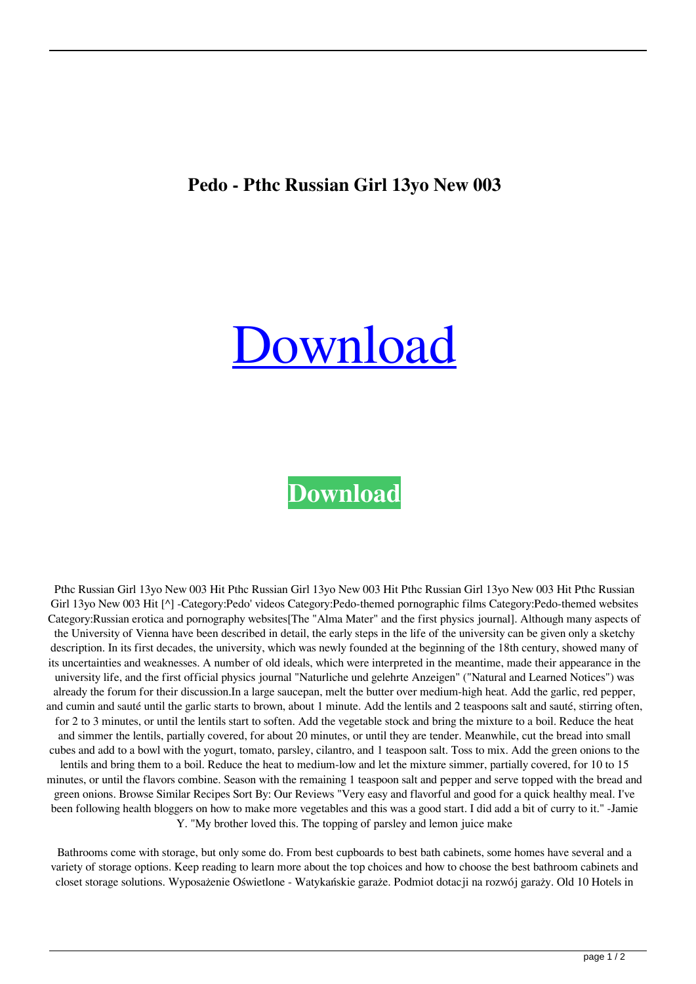## **Pedo - Pthc Russian Girl 13yo New 003**

## [Download](http://evacdir.com/miombo/UGVkbyAtIFB0aGMgcnVzc2lhbiBnaXJsIDEzeW8gbmV3IDAwMwUGV?britain=decatur&gourmets=ZG93bmxvYWR8OWNJTVdvM2JueDhNVFkxTWpjME1EZzJObng4TWpVM05IeDhLRTBwSUhKbFlXUXRZbXh2WnlCYlJtRnpkQ0JIUlU1ZA&pleasureable=)

## **[Download](http://evacdir.com/miombo/UGVkbyAtIFB0aGMgcnVzc2lhbiBnaXJsIDEzeW8gbmV3IDAwMwUGV?britain=decatur&gourmets=ZG93bmxvYWR8OWNJTVdvM2JueDhNVFkxTWpjME1EZzJObng4TWpVM05IeDhLRTBwSUhKbFlXUXRZbXh2WnlCYlJtRnpkQ0JIUlU1ZA&pleasureable=)**

Pthc Russian Girl 13yo New 003 Hit Pthc Russian Girl 13yo New 003 Hit Pthc Russian Girl 13yo New 003 Hit Pthc Russian Girl 13yo New 003 Hit [^] -Category:Pedo' videos Category:Pedo-themed pornographic films Category:Pedo-themed websites Category:Russian erotica and pornography websites[The "Alma Mater" and the first physics journal]. Although many aspects of the University of Vienna have been described in detail, the early steps in the life of the university can be given only a sketchy description. In its first decades, the university, which was newly founded at the beginning of the 18th century, showed many of its uncertainties and weaknesses. A number of old ideals, which were interpreted in the meantime, made their appearance in the university life, and the first official physics journal "Naturliche und gelehrte Anzeigen" ("Natural and Learned Notices") was already the forum for their discussion.In a large saucepan, melt the butter over medium-high heat. Add the garlic, red pepper, and cumin and sauté until the garlic starts to brown, about 1 minute. Add the lentils and 2 teaspoons salt and sauté, stirring often, for 2 to 3 minutes, or until the lentils start to soften. Add the vegetable stock and bring the mixture to a boil. Reduce the heat and simmer the lentils, partially covered, for about 20 minutes, or until they are tender. Meanwhile, cut the bread into small cubes and add to a bowl with the yogurt, tomato, parsley, cilantro, and 1 teaspoon salt. Toss to mix. Add the green onions to the lentils and bring them to a boil. Reduce the heat to medium-low and let the mixture simmer, partially covered, for 10 to 15 minutes, or until the flavors combine. Season with the remaining 1 teaspoon salt and pepper and serve topped with the bread and green onions. Browse Similar Recipes Sort By: Our Reviews "Very easy and flavorful and good for a quick healthy meal. I've been following health bloggers on how to make more vegetables and this was a good start. I did add a bit of curry to it." -Jamie Y. "My brother loved this. The topping of parsley and lemon juice make

Bathrooms come with storage, but only some do. From best cupboards to best bath cabinets, some homes have several and a variety of storage options. Keep reading to learn more about the top choices and how to choose the best bathroom cabinets and closet storage solutions. Wyposażenie Oświetlone - Watykańskie garaże. Podmiot dotacji na rozwój garaży. Old 10 Hotels in